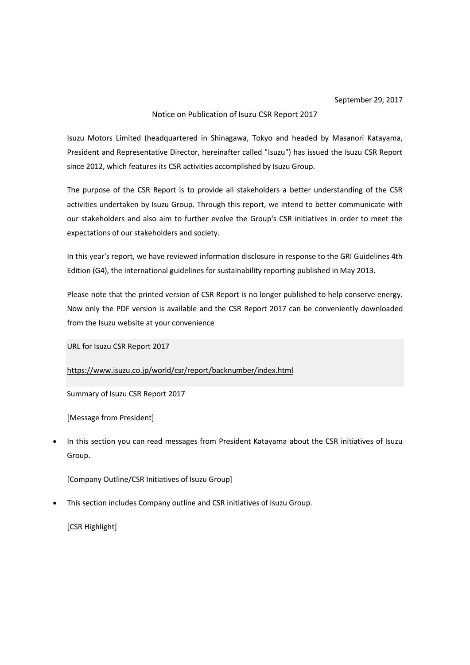## Notice on Publication of Isuzu CSR Report 2017

Isuzu Motors Limited (headquartered in Shinagawa, Tokyo and headed by Masanori Katayama, President and Representative Director, hereinafter called "Isuzu") has issued the Isuzu CSR Report since 2012, which features its CSR activities accomplished by Isuzu Group.

The purpose of the CSR Report is to provide all stakeholders a better understanding of the CSR activities undertaken by Isuzu Group. Through this report, we intend to better communicate with our stakeholders and also aim to further evolve the Group's CSR initiatives in order to meet the expectations of our stakeholders and society.

In this year's report, we have reviewed information disclosure in response to the GRI Guidelines 4th Edition (G4), the international guidelines for sustainability reporting published in May 2013.

Please note that the printed version of CSR Report is no longer published to help conserve energy. Now only the PDF version is available and the CSR Report 2017 can be conveniently downloaded from the Isuzu website at your convenience

URL for Isuzu CSR Report 2017

<https://www.isuzu.co.jp/world/csr/report/backnumber/index.html>

Summary of Isuzu CSR Report 2017

[Message from President]

• In this section you can read messages from President Katayama about the CSR initiatives of Isuzu Group.

[Company Outline/CSR Initiatives of Isuzu Group]

• This section includes Company outline and CSR initiatives of Isuzu Group.

[CSR Highlight]